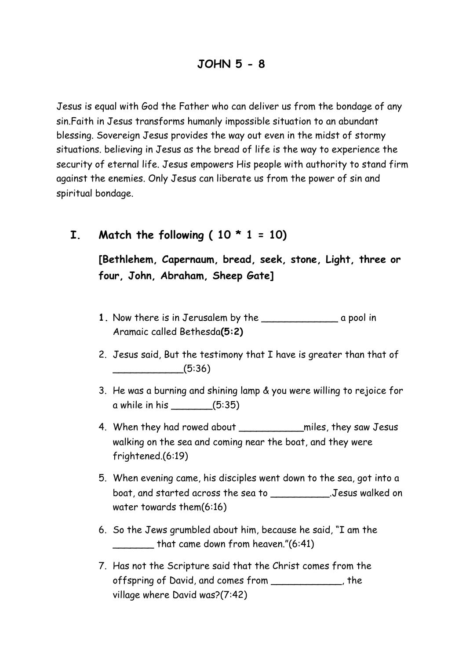Jesus is equal with God the Father who can deliver us from the bondage of any sin.Faith in Jesus transforms humanly impossible situation to an abundant blessing. Sovereign Jesus provides the way out even in the midst of stormy situations. believing in Jesus as the bread of life is the way to experience the security of eternal life. Jesus empowers His people with authority to stand firm against the enemies. Only Jesus can liberate us from the power of sin and spiritual bondage.

**I.** Match the following  $(10 * 1 = 10)$ 

**[Bethlehem, Capernaum, bread, seek, stone, Light, three or four, John, Abraham, Sheep Gate]** 

- **1.** Now there is in Jerusalem by the \_\_\_\_\_\_\_\_\_\_\_\_\_ a pool in Aramaic called Bethesda**(5:2)**
- 2. Jesus said, But the testimony that I have is greater than that of  $\frac{1}{(5:36)}$
- 3. He was a burning and shining lamp & you were willing to rejoice for a while in his \_\_\_\_\_\_\_(5:35)
- 4. When they had rowed about \_\_\_\_\_\_\_\_\_\_\_miles, they saw Jesus walking on the sea and coming near the boat, and they were frightened.(6:19)
- 5. When evening came, his disciples went down to the sea, got into a boat, and started across the sea to \_\_\_\_\_\_\_\_\_\_.Jesus walked on water towards them(6:16)
- 6. So the Jews grumbled about him, because he said, "I am the that came down from heaven."(6:41)
- 7. Has not the Scripture said that the Christ comes from the offspring of David, and comes from \_\_\_\_\_\_\_\_\_\_\_\_, the village where David was?(7:42)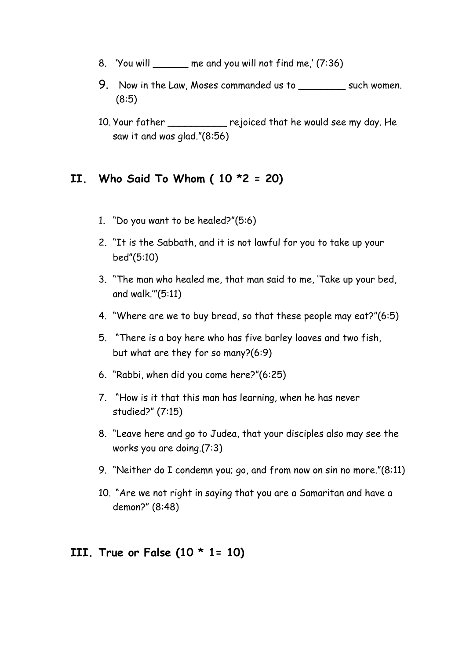- 8. 'You will me and you will not find me,' (7:36)
- 9. Now in the Law, Moses commanded us to \_\_\_\_\_\_\_\_\_ such women. (8:5)
- 10. Your father rejoiced that he would see my day. He saw it and was glad."(8:56)

### **II. Who Said To Whom ( 10 \*2 = 20)**

- 1. "Do you want to be healed?"(5:6)
- 2. "It is the Sabbath, and it is not lawful for you to take up your bed"(5:10)
- 3. "The man who healed me, that man said to me, 'Take up your bed, and walk.'"(5:11)
- 4. "Where are we to buy bread, so that these people may eat?"(6:5)
- 5. "There is a boy here who has five barley loaves and two fish, but what are they for so many?(6:9)
- 6. "Rabbi, when did you come here?"(6:25)
- 7. "How is it that this man has learning, when he has never studied?" (7:15)
- 8. "Leave here and go to Judea, that your disciples also may see the works you are doing.(7:3)
- 9. "Neither do I condemn you; go, and from now on sin no more."(8:11)
- 10. "Are we not right in saying that you are a Samaritan and have a demon?" (8:48)

#### **III. True or False (10 \* 1= 10)**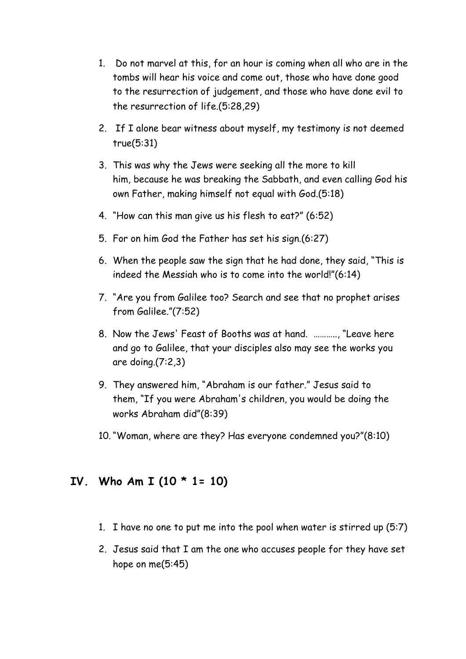- 1. Do not marvel at this, for an hour is coming when all who are in the tombs will hear his voice and come out, those who have done good to the resurrection of judgement, and those who have done evil to the resurrection of life.(5:28,29)
- 2. If I alone bear witness about myself, my testimony is not deemed true(5:31)
- 3. This was why the Jews were seeking all the more to kill him, because he was breaking the Sabbath, and even calling God his own Father, making himself not equal with God.(5:18)
- 4. "How can this man give us his flesh to eat?" (6:52)
- 5. For on him God the Father has set his sign.(6:27)
- 6. When the people saw the sign that he had done, they said, "This is indeed the Messiah who is to come into the world!"(6:14)
- 7. "Are you from Galilee too? Search and see that no prophet arises from Galilee."(7:52)
- 8. Now the Jews' Feast of Booths was at hand. ……….., "Leave here and go to Galilee, that your disciples also may see the works you are doing.(7:2,3)
- 9. They answered him, "Abraham is our father." Jesus said to them, "If you were Abraham's children, you would be doing the works Abraham did"(8:39)
- 10."Woman, where are they? Has everyone condemned you?"(8:10)

# **IV. Who Am I (10 \* 1= 10)**

- 1. I have no one to put me into the pool when water is stirred up (5:7)
- 2. Jesus said that I am the one who accuses people for they have set hope on me(5:45)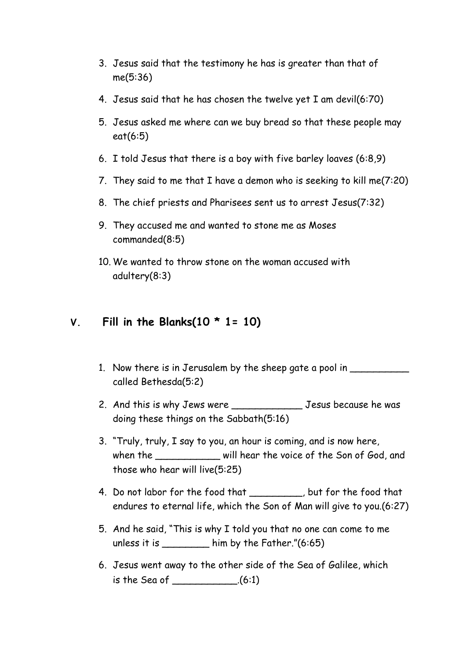- 3. Jesus said that the testimony he has is greater than that of me(5:36)
- 4. Jesus said that he has chosen the twelve yet I am devil(6:70)
- 5. Jesus asked me where can we buy bread so that these people may eat(6:5)
- 6. I told Jesus that there is a boy with five barley loaves (6:8,9)
- 7. They said to me that I have a demon who is seeking to kill me(7:20)
- 8. The chief priests and Pharisees sent us to arrest Jesus(7:32)
- 9. They accused me and wanted to stone me as Moses commanded(8:5)
- 10. We wanted to throw stone on the woman accused with adultery(8:3)

## **V. Fill in the Blanks(10 \* 1= 10)**

- 1. Now there is in Jerusalem by the sheep gate a pool in called Bethesda(5:2)
- 2. And this is why Jews were \_\_\_\_\_\_\_\_\_\_\_\_\_\_\_\_\_\_\_\_\_\_ Jesus because he was doing these things on the Sabbath(5:16)
- 3. "Truly, truly, I say to you, an hour is coming, and is now here, when the \_\_\_\_\_\_\_\_\_\_\_\_ will hear the voice of the Son of God, and those who hear will live(5:25)
- 4. Do not labor for the food that but for the food that endures to eternal life, which the Son of Man will give to you.(6:27)
- 5. And he said, "This is why I told you that no one can come to me unless it is  $\frac{1}{2}$  him by the Father."(6:65)
- 6. Jesus went away to the other side of the Sea of Galilee, which is the Sea of \_\_\_\_\_\_\_\_\_\_\_.(6:1)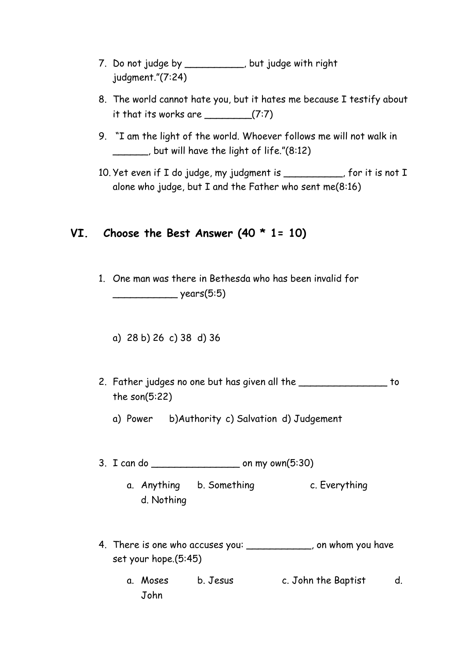- 7. Do not judge by \_\_\_\_\_\_\_\_\_\_, but judge with right judgment."(7:24)
- 8. The world cannot hate you, but it hates me because I testify about it that its works are  $(7:7)$
- 9. "I am the light of the world. Whoever follows me will not walk in \_\_\_\_\_\_, but will have the light of life."(8:12)
- 10. Yet even if I do judge, my judgment is \_\_\_\_\_\_\_\_, for it is not I alone who judge, but I and the Father who sent me(8:16)

## **VI. Choose the Best Answer (40 \* 1= 10)**

- 1. One man was there in Bethesda who has been invalid for \_\_\_\_\_\_\_\_\_\_\_ years(5:5)
	- a) 28 b) 26 c) 38 d) 36
- 2. Father judges no one but has given all the \_\_\_\_\_\_\_\_\_\_\_\_\_\_\_\_\_ to the son(5:22)
	- a) Power b)Authority c) Salvation d) Judgement
- 3. I can do \_\_\_\_\_\_\_\_\_\_\_\_\_\_\_ on my own(5:30)
	- a. Anything b. Something c. Everything d. Nothing
- 4. There is one who accuses you: \_\_\_\_\_\_\_\_\_\_\_\_, on whom you have set your hope.(5:45)
	- a. Moses b. Jesus c. John the Baptist d. John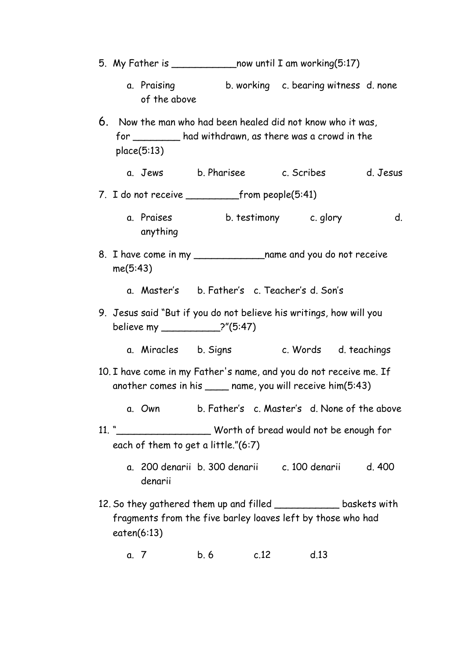- 5. My Father is \_\_\_\_\_\_\_\_\_\_\_now until I am working(5:17)
	- a. Praising b. working c. bearing witness d. none of the above
- 6. Now the man who had been healed did not know who it was, for \_\_\_\_\_\_\_\_ had withdrawn, as there was a crowd in the place(5:13)
	- a. Jews b. Pharisee c. Scribes d. Jesus
- 7. I do not receive from people(5:41)
	- a. Praises b. testimony c. glory d. anything
- 8. I have come in my \_\_\_\_\_\_\_\_\_\_\_\_\_\_\_name and you do not receive me(5:43)
	- a. Master's b. Father's c. Teacher's d. Son's
- 9. Jesus said "But if you do not believe his writings, how will you believe my \_\_\_\_\_\_\_\_\_\_?"(5:47)
	- a. Miracles b. Signs c. Words d. teachings
- 10. I have come in my Father's name, and you do not receive me. If another comes in his \_\_\_\_ name, you will receive him(5:43)
	- a. Own b. Father's c. Master's d. None of the above
- 11. "\_\_\_\_\_\_\_\_\_\_\_\_\_\_\_\_ Worth of bread would not be enough for each of them to get a little."(6:7)
	- a. 200 denarii b. 300 denarii c. 100 denarii d. 400 denarii
- 12. So they gathered them up and filled baskets with fragments from the five barley loaves left by those who had eaten(6:13)
	- a. 7 b. 6 c.12 d.13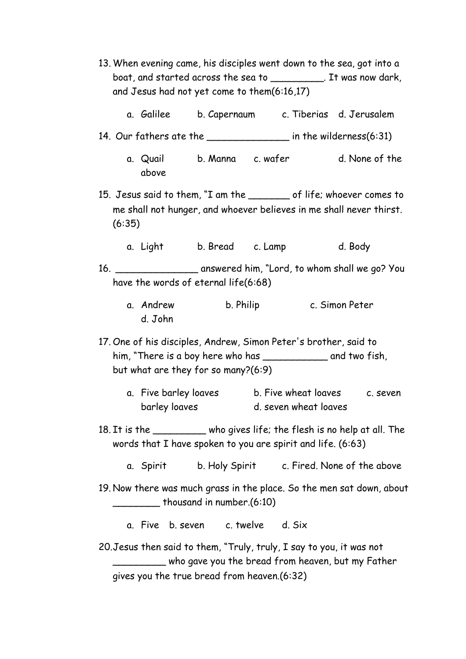- 13. When evening came, his disciples went down to the sea, got into a boat, and started across the sea to The Mas now dark, and Jesus had not yet come to them(6:16,17)
	- a. Galilee b. Capernaum c. Tiberias d. Jerusalem
- 14. Our fathers ate the **in** the wilderness(6:31)
	- a. Quail b. Manna c. wafer d. None of the above
- 15. Jesus said to them, "I am the of life; whoever comes to me shall not hunger, and whoever believes in me shall never thirst. (6:35)
	- a. Light b. Bread c. Lamp d. Body
- 16. \_\_\_\_\_\_\_\_\_\_\_\_\_\_ answered him, "Lord, to whom shall we go? You have the words of eternal life(6:68)
	- a. Andrew b. Philip c. Simon Peter d. John
- 17. One of his disciples, Andrew, Simon Peter's brother, said to him, "There is a boy here who has \_\_\_\_\_\_\_\_\_\_\_\_\_\_\_\_ and two fish, but what are they for so many?(6:9)
	- a. Five barley loaves b. Five wheat loaves c. seven barley loaves d. seven wheat loaves
- 18. It is the \_\_\_\_\_\_\_\_\_ who gives life; the flesh is no help at all. The words that I have spoken to you are spirit and life. (6:63)
	- a. Spirit b. Holy Spirit c. Fired. None of the above
- 19. Now there was much grass in the place. So the men sat down, about \_\_\_\_\_\_\_\_ thousand in number.(6:10)
	- a. Five b. seven c. twelve d. Six
- 20.Jesus then said to them, "Truly, truly, I say to you, it was not \_\_\_\_\_\_\_\_\_ who gave you the bread from heaven, but my Father gives you the true bread from heaven.(6:32)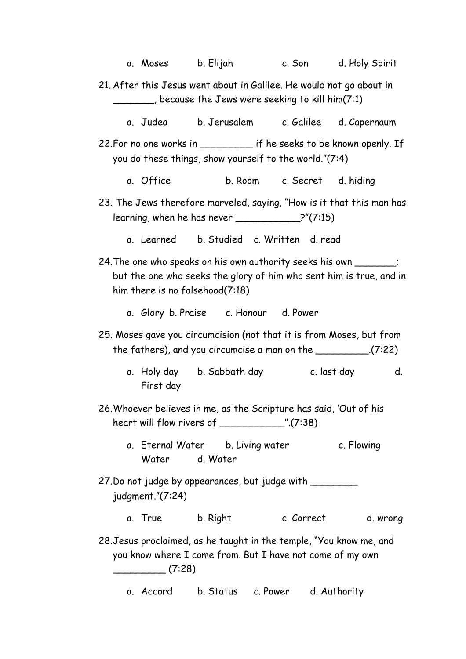|                                                                                                                                                                                  | a. Moses             b. Elijah |                                                                                                                                  |                             |                   |
|----------------------------------------------------------------------------------------------------------------------------------------------------------------------------------|--------------------------------|----------------------------------------------------------------------------------------------------------------------------------|-----------------------------|-------------------|
| 21. After this Jesus went about in Galilee. He would not go about in<br>_____, because the Jews were seeking to kill him(7:1)                                                    |                                |                                                                                                                                  |                             |                   |
|                                                                                                                                                                                  |                                | a. Judea b. Jerusalem c. Galilee d. Capernaum                                                                                    |                             |                   |
| 22. For no one works in __________ if he seeks to be known openly. If<br>you do these things, show yourself to the world."(7:4)                                                  |                                |                                                                                                                                  |                             |                   |
|                                                                                                                                                                                  | a. Office                      |                                                                                                                                  | b. Room c. Secret d. hiding |                   |
| 23. The Jews therefore marveled, saying, "How is it that this man has<br>$learning$ , when he has never $\qquad \qquad \qquad$ 2"(7:15)                                          |                                |                                                                                                                                  |                             |                   |
|                                                                                                                                                                                  |                                | a. Learned b. Studied c. Written d. read                                                                                         |                             |                   |
| 24. The one who speaks on his own authority seeks his own ________;<br>but the one who seeks the glory of him who sent him is true, and in<br>him there is no falsehood $(7:18)$ |                                |                                                                                                                                  |                             |                   |
|                                                                                                                                                                                  |                                | a. Glory b. Praise c. Honour d. Power                                                                                            |                             |                   |
| 25. Moses gave you circumcision (not that it is from Moses, but from<br>the fathers), and you circumcise a man on the $\_\_\_\_\_\_\_$ (7:22)                                    |                                |                                                                                                                                  |                             |                   |
|                                                                                                                                                                                  |                                |                                                                                                                                  |                             |                   |
|                                                                                                                                                                                  | First day                      | a. Holy day b. Sabbath day                                                                                                       |                             | c. last day<br>d. |
|                                                                                                                                                                                  |                                | 26. Whoever believes in me, as the Scripture has said, 'Out of his                                                               |                             |                   |
|                                                                                                                                                                                  |                                | a. Eternal Water b. Living water<br>Water d. Water                                                                               |                             | c. Flowing        |
|                                                                                                                                                                                  | judgment." (7:24)              | 27. Do not judge by appearances, but judge with _________                                                                        |                             |                   |
|                                                                                                                                                                                  | a. True b. Right               |                                                                                                                                  | c. Correct                  | d. wrong          |
|                                                                                                                                                                                  | (7:28)                         | 28. Jesus proclaimed, as he taught in the temple, "You know me, and<br>you know where I come from. But I have not come of my own |                             |                   |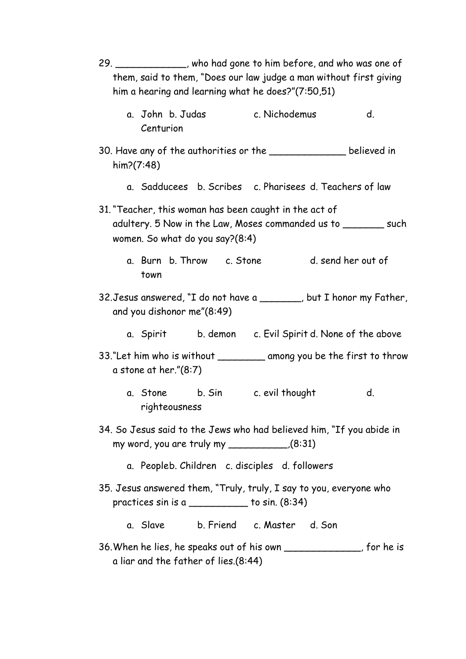- 29. \_\_\_\_\_\_\_\_\_\_\_\_, who had gone to him before, and who was one of them, said to them, "Does our law judge a man without first giving him a hearing and learning what he does?"(7:50,51)
	- a. John b. Judas c. Nichodemus d. Centurion
- 30. Have any of the authorities or the \_\_\_\_\_\_\_\_\_\_\_\_\_ believed in him?(7:48)
	- a. Sadducees b. Scribes c. Pharisees d. Teachers of law
- 31."Teacher, this woman has been caught in the act of adultery. 5 Now in the Law, Moses commanded us to \_\_\_\_\_\_\_ such women. So what do you say?(8:4)
	- a. Burn b. Throw c. Stone d. send her out of town
- 32.Jesus answered, "I do not have a \_\_\_\_\_\_\_, but I honor my Father, and you dishonor me"(8:49)
	- a. Spirit b. demon c. Evil Spirit d. None of the above
- 33."Let him who is without \_\_\_\_\_\_\_\_\_ among you be the first to throw a stone at her."(8:7)
	- a. Stone b. Sin c. evil thought d. righteousness
- 34. So Jesus said to the Jews who had believed him, "If you abide in my word, you are truly my \_\_\_\_\_\_\_\_\_\_,(8:31)
	- a. Peopleb. Children c. disciples d. followers
- 35. Jesus answered them, "Truly, truly, I say to you, everyone who practices sin is a  $\frac{1}{2}$  to sin.  $(8.34)$ 
	- a. Slave b. Friend c. Master d. Son
- 36.When he lies, he speaks out of his own \_\_\_\_\_\_\_\_\_\_\_\_\_, for he is a liar and the father of lies.(8:44)